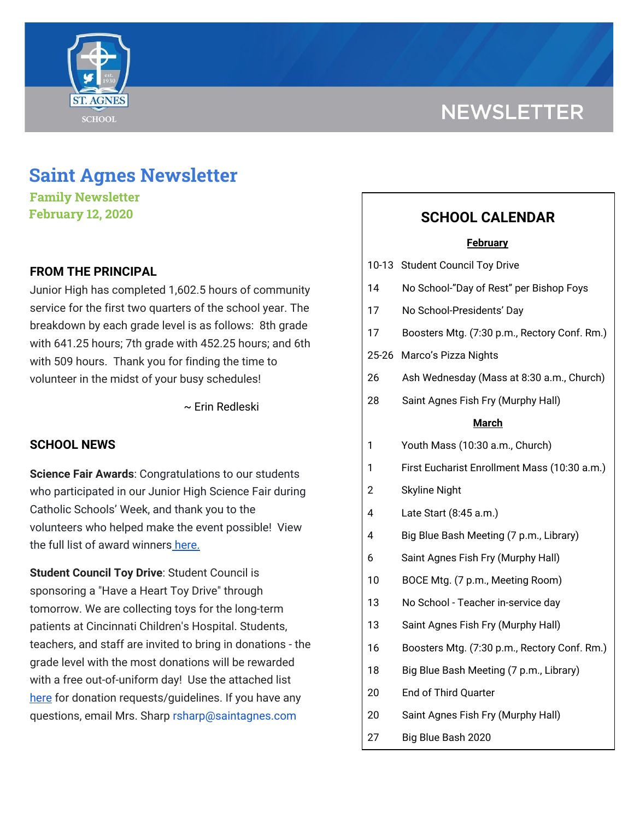

# **NEWSLETTER**

## **Saint Agnes Newsletter**

**Family Newsletter February 12, 2020**

## **FROM THE PRINCIPAL**

Junior High has completed 1,602.5 hours of community service for the first two quarters of the school year. The breakdown by each grade level is as follows: 8th grade with 641.25 hours; 7th grade with 452.25 hours; and 6th with 509 hours. Thank you for finding the time to volunteer in the midst of your busy schedules!

~ Erin Redleski

## **SCHOOL NEWS**

**Science Fair Awards**: Congratulations to our students who participated in our Junior High Science Fair during Catholic Schools' Week, and thank you to the volunteers who helped make the event possible! View the full list of award winners [here.](https://school.saintagnes.com/wp-content/uploads/2020/02/St.-Agnes-Science-Fair-Winners-2020.pdf)

**Student Council Toy Drive**: Student Council is sponsoring a "Have a Heart Toy Drive" through tomorrow. We are collecting toys for the long-term patients at Cincinnati Children's Hospital. Students, teachers, and staff are invited to bring in donations - the grade level with the most donations will be rewarded with a free out-of-uniform day! Use the attached list [here](https://school.saintagnes.com/wp-content/uploads/2020/02/2020-Cincinnati-Childrens-wish-list.pdf) for donation requests/guidelines. If you have any questions, email Mrs. Sharp rsharp@saintagnes.com

## **SCHOOL CALENDAR**

#### **February**

- 10-13 Student Council Toy Drive
- 14 No School-"Day of Rest" per Bishop Foys
- 17 No School-Presidents' Day
- 17 Boosters Mtg. (7:30 p.m., Rectory Conf. Rm.)
- 25-26 Marco's Pizza Nights
- 26 Ash Wednesday (Mass at 8:30 a.m., Church)
- 28 Saint Agnes Fish Fry (Murphy Hall)

#### **March**

- 1 Youth Mass (10:30 a.m., Church)
- 1 First Eucharist Enrollment Mass (10:30 a.m.)
- 2 Skyline Night
- 4 Late Start (8:45 a.m.)
- 4 Big Blue Bash Meeting (7 p.m., Library)
- 6 Saint Agnes Fish Fry (Murphy Hall)
- 10 BOCE Mtg. (7 p.m., Meeting Room)
- 13 No School Teacher in-service day
- 13 Saint Agnes Fish Fry (Murphy Hall)
- 16 Boosters Mtg. (7:30 p.m., Rectory Conf. Rm.)
- 18 Big Blue Bash Meeting (7 p.m., Library)
- 20 End of Third Quarter
- 20 Saint Agnes Fish Fry (Murphy Hall)
- 27 Big Blue Bash 2020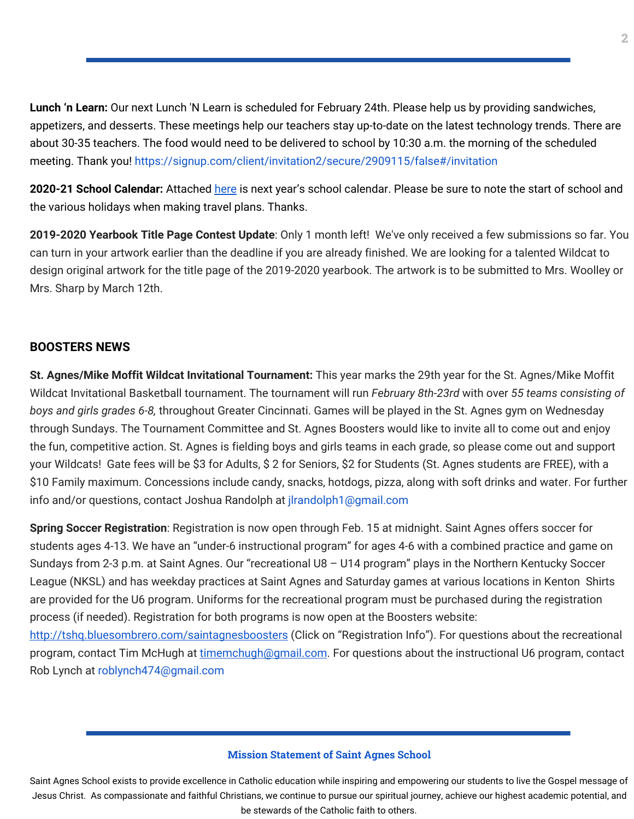**Lunch 'n Learn:** Our next Lunch 'N Learn is scheduled for February 24th. Please help us by providing sandwiches, appetizers, and desserts. These meetings help our teachers stay up-to-date on the latest technology trends. There are about 30-35 teachers. The food would need to be delivered to school by 10:30 a.m. the morning of the scheduled meeting. Thank you! <https://signup.com/client/invitation2/secure/2909115/false#/invitation>

**2020-21 School Calendar:** Attached [here](https://school.saintagnes.com/wp-content/uploads/2020/02/2020-2021-School-Calendar-Parents.pdf) is next year's school calendar. Please be sure to note the start of school and the various holidays when making travel plans. Thanks.

**2019-2020 Yearbook Title Page Contest Update**: Only 1 month left! We've only received a few submissions so far. You can turn in your artwork earlier than the deadline if you are already finished. We are looking for a talented Wildcat to design original artwork for the title page of the 2019-2020 yearbook. The artwork is to be submitted to Mrs. Woolley or Mrs. Sharp by March 12th.

## **BOOSTERS NEWS**

**St. Agnes/Mike Moffit Wildcat Invitational Tournament:** This year marks the 29th year for the St. Agnes/Mike Moffit Wildcat Invitational Basketball tournament. The tournament will run *February 8th-23rd* with over *55 teams consisting of boys and girls grades 6-8,* throughout Greater Cincinnati. Games will be played in the St. Agnes gym on Wednesday through Sundays. The Tournament Committee and St. Agnes Boosters would like to invite all to come out and enjoy the fun, competitive action. St. Agnes is fielding boys and girls teams in each grade, so please come out and support your Wildcats! Gate fees will be \$3 for Adults, \$ 2 for Seniors, \$2 for Students (St. Agnes students are FREE), with a \$10 Family maximum. Concessions include candy, snacks, hotdogs, pizza, along with soft drinks and water. For further info and/or questions, contact Joshua Randolph at jlrandolph1@gmail.com

**Spring Soccer Registration**: Registration is now open through Feb. 15 at midnight. Saint Agnes offers soccer for students ages 4-13. We have an "under-6 instructional program" for ages 4-6 with a combined practice and game on Sundays from 2-3 p.m. at Saint Agnes. Our "recreational U8 – U14 program" plays in the Northern Kentucky Soccer League (NKSL) and has weekday practices at Saint Agnes and Saturday games at various locations in Kenton Shirts are provided for the U6 program. Uniforms for the recreational program must be purchased during the registration process (if needed). Registration for both programs is now open at the Boosters website: <http://tshq.bluesombrero.com/saintagnesboosters> (Click on "Registration Info"). For questions about the recreational program, contact Tim McHugh at [timemchugh@gmail.com](mailto:timemchugh@gmail.com). For questions about the instructional U6 program, contact

Rob Lynch at roblynch474@gmail.com

#### **Mission Statement of Saint Agnes School**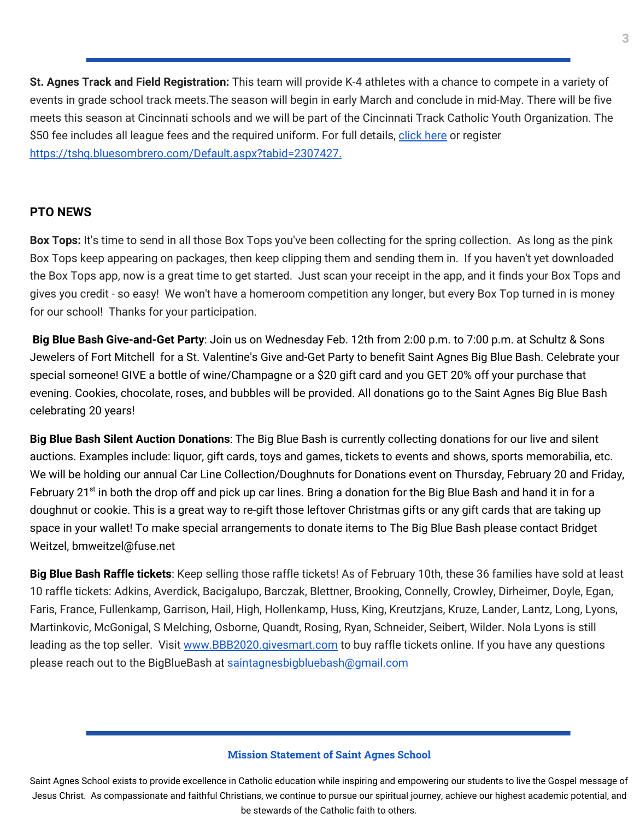**St. Agnes Track and Field Registration:** This team will provide K-4 athletes with a chance to compete in a variety of events in grade school track meets.The season will begin in early March and conclude in mid-May. There will be five meets this season at Cincinnati schools and we will be part of the Cincinnati Track Catholic Youth Organization. The \$50 fee includes all league fees and the required uniform. For full details, [click](https://school.saintagnes.com/wp-content/uploads/2020/01/2020-track-and-field-saint-agnes.pdf) here or register <https://tshq.bluesombrero.com/Default.aspx?tabid=2307427>[.](https://school.saintagnes.com/wp-content/uploads/2020/01/2020-st-agnes-track-and-field.pdf)

## **PTO NEWS**

**Box Tops:** It's time to send in all those Box Tops you've been collecting for the spring collection. As long as the pink Box Tops keep appearing on packages, then keep clipping them and sending them in. If you haven't yet downloaded the Box Tops app, now is a great time to get started. Just scan your receipt in the app, and it finds your Box Tops and gives you credit - so easy! We won't have a homeroom competition any longer, but every Box Top turned in is money for our school! Thanks for your participation.

**Big Blue Bash Give-and-Get Party**: Join us on Wednesday Feb. 12th from 2:00 p.m. to 7:00 p.m. at Schultz & Sons Jewelers of Fort Mitchell for a St. Valentine's Give and-Get Party to benefit Saint Agnes Big Blue Bash. Celebrate your special someone! GIVE a bottle of wine/Champagne or a \$20 gift card and you GET 20% off your purchase that evening. Cookies, chocolate, roses, and bubbles will be provided. All donations go to the Saint Agnes Big Blue Bash celebrating 20 years!

**Big Blue Bash Silent Auction Donations**: The Big Blue Bash is currently collecting donations for our live and silent auctions. Examples include: liquor, gift cards, toys and games, tickets to events and shows, sports memorabilia, etc. We will be holding our annual Car Line Collection/Doughnuts for Donations event on Thursday, February 20 and Friday, February 21<sup>st</sup> in both the drop off and pick up car lines. Bring a donation for the Big Blue Bash and hand it in for a doughnut or cookie. This is a great way to re-gift those leftover Christmas gifts or any gift cards that are taking up space in your wallet! To make special arrangements to donate items to The Big Blue Bash please contact Bridget Weitzel, bmweitzel@fuse.net

**Big Blue Bash Raffle tickets**: Keep selling those raffle tickets! As of February 10th, these 36 families have sold at least 10 raffle tickets: Adkins, Averdick, Bacigalupo, Barczak, Blettner, Brooking, Connelly, Crowley, Dirheimer, Doyle, Egan, Faris, France, Fullenkamp, Garrison, Hail, High, Hollenkamp, Huss, King, Kreutzjans, Kruze, Lander, Lantz, Long, Lyons, Martinkovic, McGonigal, S Melching, Osborne, Quandt, Rosing, Ryan, Schneider, Seibert, Wilder. Nola Lyons is still leading as the top seller. Visit [www.BBB2020.givesmart.com](http://www.bbb2020.givesmart.com/) to buy raffle tickets online. If you have any questions please reach out to the BigBlueBash at [saintagnesbigbluebash@gmail.com](mailto:saintagnesbigbluebash@gmail.com)

#### **Mission Statement of Saint Agnes School**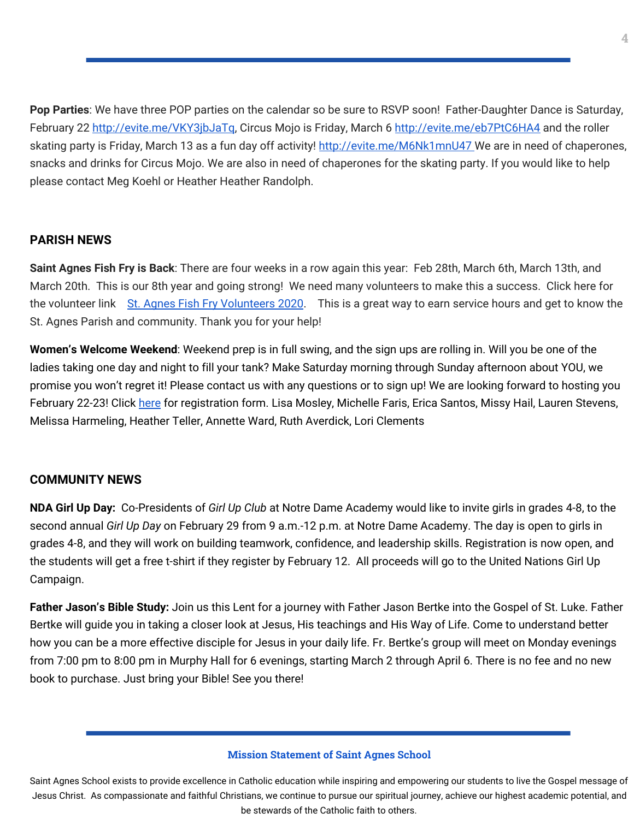**Pop Parties**: We have three POP parties on the calendar so be sure to RSVP soon! Father-Daughter Dance is Saturday, February 22 <http://evite.me/VKY3jbJaTq>, Circus Mojo is Friday, March 6 <http://evite.me/eb7PtC6HA4> and the roller skating party is Friday, March 13 as a fun day off activity! <http://evite.me/M6Nk1mnU47> We are in need of chaperones, snacks and drinks for Circus Mojo. We are also in need of chaperones for the skating party. If you would like to help please contact Meg Koehl or Heather Heather Randolph.

## **PARISH NEWS**

**Saint Agnes Fish Fry is Back**: There are four weeks in a row again this year: Feb 28th, March 6th, March 13th, and March 20th. This is our 8th year and going strong! We need many volunteers to make this a success. Click here for the volunteer link St. Agnes Fish Fry [Volunteers](https://signup.com/go/GNYQiEQ) 2020. This is a great way to earn service hours and get to know the St. Agnes Parish and community. Thank you for your help!

**Women's Welcome Weekend**: Weekend prep is in full swing, and the sign ups are rolling in. Will you be one of the ladies taking one day and night to fill your tank? Make Saturday morning through Sunday afternoon about YOU, we promise you won't regret it! Please contact us with any questions or to sign up! We are looking forward to hosting you February 22-23! Click [here](https://school.saintagnes.com/wp-content/uploads/2020/02/2020-Welcome_Womens-Registration-Form.pdf) for registration form. Lisa Mosley, Michelle Faris, Erica Santos, Missy Hail, Lauren Stevens, Melissa Harmeling, Heather Teller, Annette Ward, Ruth Averdick, Lori Clements

## **COMMUNITY NEWS**

**NDA Girl Up Day:** Co-Presidents of *Girl Up Club* at Notre Dame Academy would like to invite girls in grades 4-8, to the second annual *Girl Up Day* on February 29 from 9 a.m.-12 p.m. at Notre Dame Academy. The day is open to girls in grades 4-8, and they will work on building teamwork, confidence, and leadership skills. Registration is now open, and the students will get a free t-shirt if they register by February 12. All proceeds will go to the United Nations Girl Up Campaign.

**Father Jason's Bible Study:** Join us this Lent for a journey with Father Jason Bertke into the Gospel of St. Luke. Father Bertke will guide you in taking a closer look at Jesus, His teachings and His Way of Life. Come to understand better how you can be a more effective disciple for Jesus in your daily life. Fr. Bertke's group will meet on Monday evenings from 7:00 pm to 8:00 pm in Murphy Hall for 6 evenings, starting March 2 through April 6. There is no fee and no new book to purchase. Just bring your Bible! See you there!

#### **Mission Statement of Saint Agnes School**